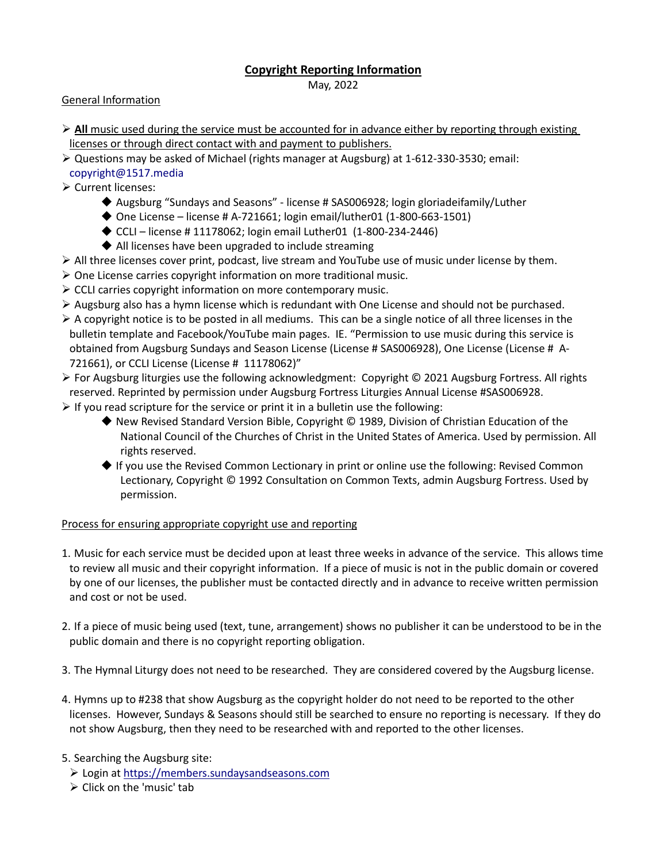## **Copyright Reporting Information**

May, 2022

## General Information

- $\triangleright$  All music used during the service must be accounted for in advance either by reporting through existing licenses or through direct contact with and payment to publishers.
- Questions may be asked of Michael (rights manager at Augsburg) at 1-612-330-3530; email: [copyright@1517.media](mailto:copyright@1517.media)
- **Exercial EXERCIES** Current licenses:
	- Augsburg "Sundays and Seasons" license # SAS006928; login gloriadeifamily/Luther
	- ◆ One License license # A-721661; login email/luther01 (1-800-663-1501)
	- $\triangle$  CCLI license # 11178062; login email Luther01 (1-800-234-2446)
	- ◆ All licenses have been upgraded to include streaming
- $\triangleright$  All three licenses cover print, podcast, live stream and YouTube use of music under license by them.
- $\triangleright$  One License carries copyright information on more traditional music.
- $\triangleright$  CCLI carries copyright information on more contemporary music.
- $\triangleright$  Augsburg also has a hymn license which is redundant with One License and should not be purchased.
- $\triangleright$  A copyright notice is to be posted in all mediums. This can be a single notice of all three licenses in the bulletin template and Facebook/YouTube main pages. IE. "Permission to use music during this service is obtained from Augsburg Sundays and Season License (License # SAS006928), One License (License # A-721661), or CCLI License (License # 11178062)"
- For Augsburg liturgies use the following acknowledgment: Copyright © 2021 Augsburg Fortress. All rights reserved. Reprinted by permission under Augsburg Fortress Liturgies Annual License #SAS006928.
- $\triangleright$  If you read scripture for the service or print it in a bulletin use the following:
	- ◆ New Revised Standard Version Bible, Copyright © 1989, Division of Christian Education of the National Council of the Churches of Christ in the United States of America. Used by permission. All rights reserved.
	- $\blacklozenge$  If you use the Revised Common Lectionary in print or online use the following: Revised Common Lectionary, Copyright © 1992 Consultation on Common Texts, admin Augsburg Fortress. Used by permission.

## Process for ensuring appropriate copyright use and reporting

- 1. Music for each service must be decided upon at least three weeks in advance of the service. This allows time to review all music and their copyright information. If a piece of music is not in the public domain or covered by one of our licenses, the publisher must be contacted directly and in advance to receive written permission and cost or not be used.
- 2. If a piece of music being used (text, tune, arrangement) shows no publisher it can be understood to be in the public domain and there is no copyright reporting obligation.
- 3. The Hymnal Liturgy does not need to be researched. They are considered covered by the Augsburg license.
- 4. Hymns up to #238 that show Augsburg as the copyright holder do not need to be reported to the other licenses. However, Sundays & Seasons should still be searched to ensure no reporting is necessary. If they do not show Augsburg, then they need to be researched with and reported to the other licenses.

## 5. Searching the Augsburg site:

- Login a[t https://members.sundaysandseasons.com](https://members.sundaysandseasons.com/)
- $\triangleright$  Click on the 'music' tab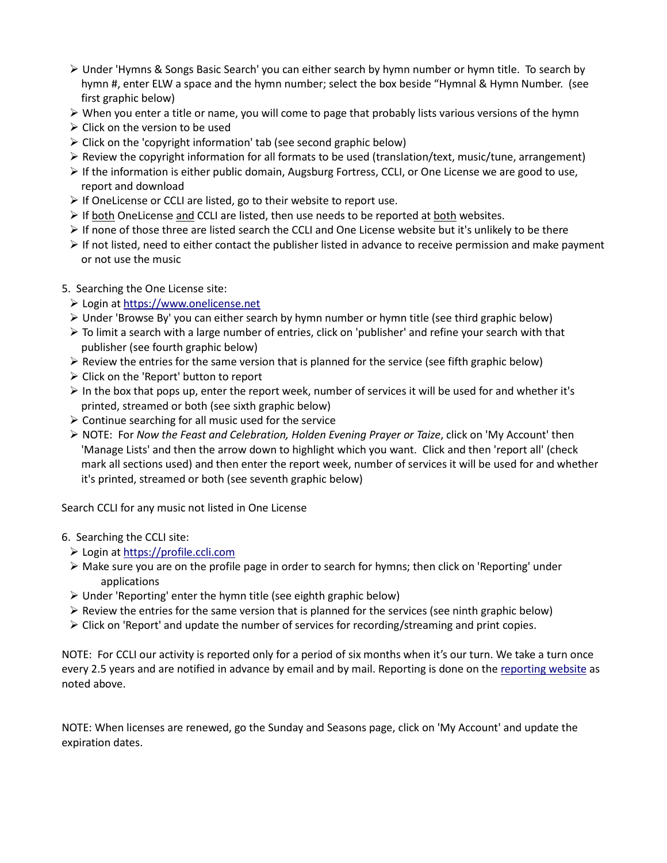- Under 'Hymns & Songs Basic Search' you can either search by hymn number or hymn title. To search by hymn #, enter ELW a space and the hymn number; select the box beside "Hymnal & Hymn Number. (see first graphic below)
- $\triangleright$  When you enter a title or name, you will come to page that probably lists various versions of the hymn
- $\triangleright$  Click on the version to be used
- $\triangleright$  Click on the 'copyright information' tab (see second graphic below)
- $\triangleright$  Review the copyright information for all formats to be used (translation/text, music/tune, arrangement)
- $\triangleright$  If the information is either public domain, Augsburg Fortress, CCLI, or One License we are good to use, report and download
- $\triangleright$  If OneLicense or CCLI are listed, go to their website to report use.
- $\triangleright$  If both OneLicense and CCLI are listed, then use needs to be reported at both websites.
- $\triangleright$  If none of those three are listed search the CCLI and One License website but it's unlikely to be there
- $\triangleright$  If not listed, need to either contact the publisher listed in advance to receive permission and make payment or not use the music
- 5. Searching the One License site:
	- Login at [https://www.onelicense.net](https://www.onelicense.net/login)
	- $\triangleright$  Under 'Browse By' you can either search by hymn number or hymn title (see third graphic below)
	- $\triangleright$  To limit a search with a large number of entries, click on 'publisher' and refine your search with that publisher (see fourth graphic below)
	- $\triangleright$  Review the entries for the same version that is planned for the service (see fifth graphic below)
	- $\triangleright$  Click on the 'Report' button to report
	- $\triangleright$  In the box that pops up, enter the report week, number of services it will be used for and whether it's printed, streamed or both (see sixth graphic below)
	- $\triangleright$  Continue searching for all music used for the service
	- NOTE: For *Now the Feast and Celebration, Holden Evening Prayer or Taize*, click on 'My Account' then 'Manage Lists' and then the arrow down to highlight which you want. Click and then 'report all' (check mark all sections used) and then enter the report week, number of services it will be used for and whether it's printed, streamed or both (see seventh graphic below)

Search CCLI for any music not listed in One License

#### 6. Searching the CCLI site:

- Login at [https://profile.ccli.com](https://profile.ccli.com/Account/?appContext=CCLI%20Profile&returnUrl=https%3A%2F%2Fprofile.ccli.com%3A443%2F)
- Make sure you are on the profile page in order to search for hymns; then click on 'Reporting' under applications
- Under 'Reporting' enter the hymn title (see eighth graphic below)
- $\triangleright$  Review the entries for the same version that is planned for the services (see ninth graphic below)
- $\triangleright$  Click on 'Report' and update the number of services for recording/streaming and print copies.

NOTE: For CCLI our activity is reported only for a period of six months when it's our turn. We take a turn once every 2.5 years and are notified in advance by email and by mail. Reporting is done on the [reporting website](https://reporting.ccli.com/) as noted above.

NOTE: When licenses are renewed, go the Sunday and Seasons page, click on 'My Account' and update the expiration dates.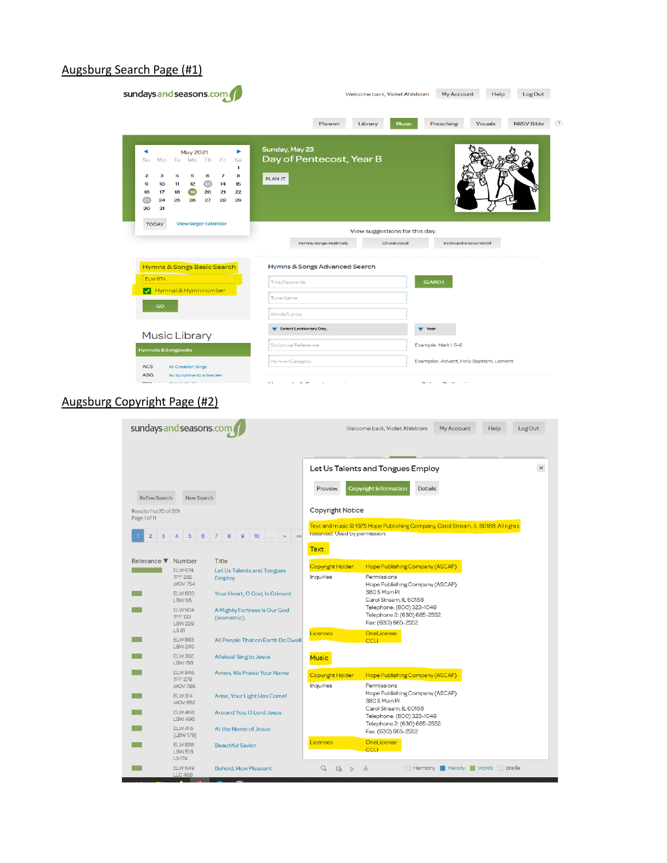#### Augsburg Search Page (#1)

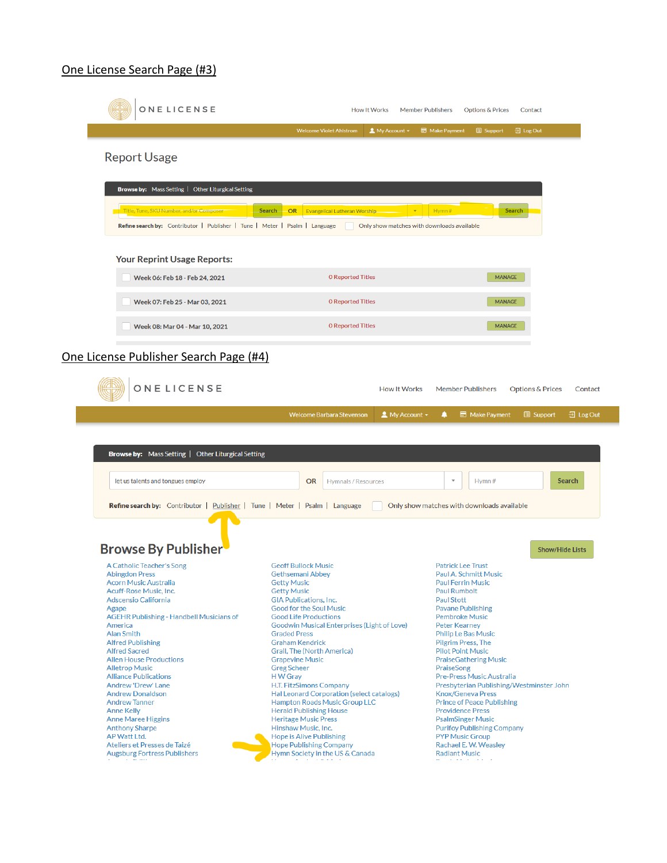#### One License Search Page (#3)

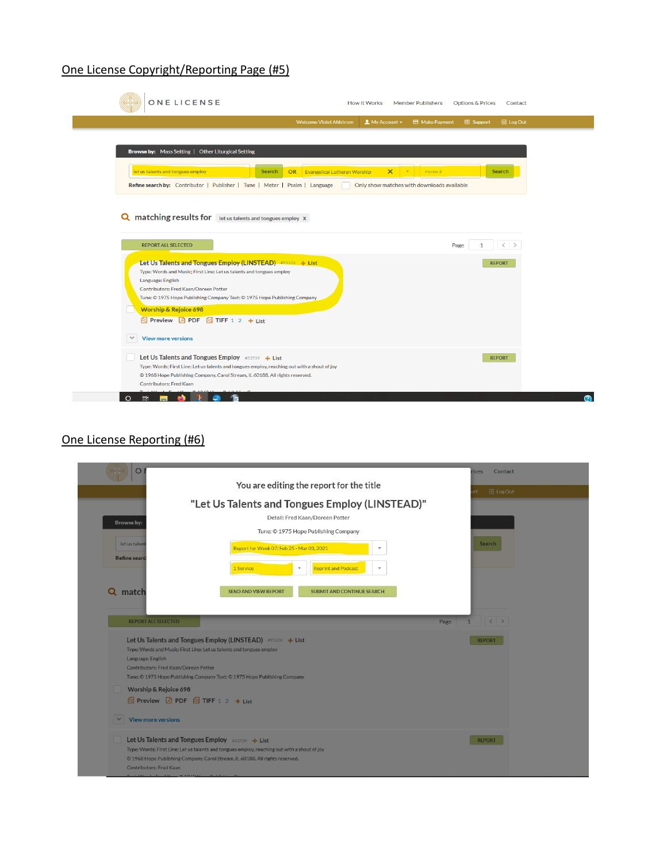# One License Copyright/Reporting Page (#5)

| ONELICENSE                                                                                                                                                                                                                             | <b>How It Works</b><br><b>Member Publishers</b>                                           | <b>Options &amp; Prices</b><br>Contact |
|----------------------------------------------------------------------------------------------------------------------------------------------------------------------------------------------------------------------------------------|-------------------------------------------------------------------------------------------|----------------------------------------|
|                                                                                                                                                                                                                                        | <b>Welcome Violet Ahlstrom</b><br>$My$ Account $\star$<br>Make Payment                    | 권 Log Out<br><b>B</b> Support          |
|                                                                                                                                                                                                                                        |                                                                                           |                                        |
| <b>Browse by:</b> Mass Setting   Other Liturgical Setting                                                                                                                                                                              |                                                                                           |                                        |
| let us talents and tongues employ                                                                                                                                                                                                      | $\boldsymbol{\times}$<br>Hymn#<br><b>OR</b> Evangelical Lutheran Worship<br><b>Search</b> | <b>Search</b>                          |
| Refine search by: Contributor   Publisher   Tune   Meter   Psalm   Language                                                                                                                                                            | Only show matches with downloads available                                                |                                        |
| <b>Q</b> matching results for let us talents and tongues employ X<br><b>REPORT ALL SELECTED</b><br>Let Us Talents and Tongues Employ (LINSTEAD) #95156 + List                                                                          | Page                                                                                      | $\langle$ ><br>1<br><b>REPORT</b>      |
| Type: Words and Music; First Line: Let us talents and tongues employ                                                                                                                                                                   |                                                                                           |                                        |
| Language: English<br>Contributors: Fred Kaan/Doreen Potter<br>Tune: © 1975 Hope Publishing Company Text: © 1975 Hope Publishing Company<br><b>Worship &amp; Rejoice 698</b><br><b>&amp;</b> Preview A PDF <b>&amp;</b> TIFF 1 2 + List |                                                                                           |                                        |
| $\checkmark$<br><b>View more versions</b>                                                                                                                                                                                              |                                                                                           |                                        |

# One License Reporting (#6)

| O                                                                                   |                                                                                                                                                                                                                                 | Contact<br>ices                     |
|-------------------------------------------------------------------------------------|---------------------------------------------------------------------------------------------------------------------------------------------------------------------------------------------------------------------------------|-------------------------------------|
|                                                                                     | You are editing the report for the title                                                                                                                                                                                        | 日 Log Out                           |
|                                                                                     | "Let Us Talents and Tongues Employ (LINSTEAD)"                                                                                                                                                                                  |                                     |
| Browse by:                                                                          | Detail: Fred Kaan/Doreen Potter                                                                                                                                                                                                 |                                     |
|                                                                                     | Tune: © 1975 Hope Publishing Company                                                                                                                                                                                            |                                     |
| let us talent                                                                       | Report for Week 07: Feb 25 - Mar 03, 2021<br>$\overline{\mathbf{v}}$                                                                                                                                                            | <b>Search</b>                       |
| <b>Refine searc</b>                                                                 | 1 Service<br><b>Reprint and Podcast</b><br>$\overline{\mathcal{R}}$                                                                                                                                                             |                                     |
| Q match                                                                             | <b>SEND AND VIEW REPORT</b><br><b>SUBMIT AND CONTINUE SEARCH</b>                                                                                                                                                                |                                     |
|                                                                                     |                                                                                                                                                                                                                                 |                                     |
| <b>REPORT ALL SELECTED</b>                                                          |                                                                                                                                                                                                                                 | Page<br>$\langle$ ><br>$\mathbf{1}$ |
| Language: English<br>Contributors: Fred Kaan/Doreen Potter<br>Worship & Rejoice 698 | Let Us Talents and Tongues Employ (LINSTEAD) #95156 + List<br>Type: Words and Music; First Line: Let us talents and tongues employ<br>Tune: © 1975 Hope Publishing Company Text: © 1975 Hope Publishing Company                 | <b>REPORT</b>                       |
|                                                                                     | Preview <b>A</b> PDF <b>A</b> TIFF 1 2 + List                                                                                                                                                                                   |                                     |
| $\checkmark$<br><b>View more versions</b>                                           |                                                                                                                                                                                                                                 |                                     |
| Contributors: Fred Kaan                                                             | Let Us Talents and Tongues Employ #53739 + List<br>Type: Words; First Line: Let us talents and tongues employ, reaching out with a shout of joy<br>© 1968 Hope Publishing Company, Carol Stream, IL 60188. All rights reserved. | <b>REPORT</b>                       |